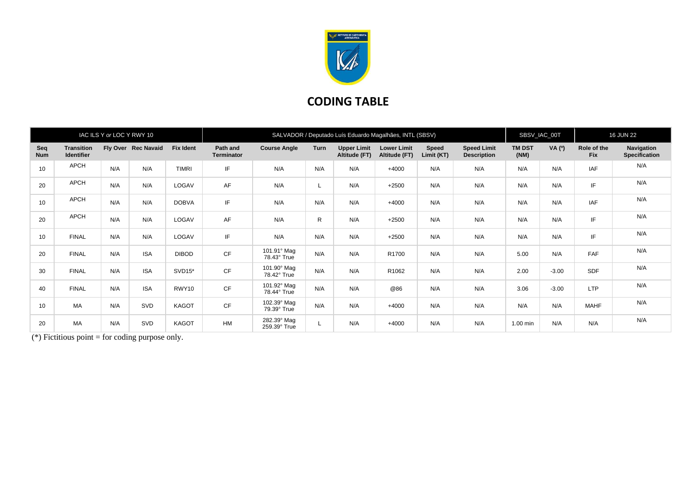

## **CODING TABLE**

| IAC ILS Y or LOC Y RWY 10 |                                        |     |                     |                  | SALVADOR / Deputado Luís Eduardo Magalhães, INTL (SBSV) |                             |              |                                     |                                     |                     |                                          |                       | SBSV_IAC_00T |                           | <b>16 JUN 22</b>                          |  |
|---------------------------|----------------------------------------|-----|---------------------|------------------|---------------------------------------------------------|-----------------------------|--------------|-------------------------------------|-------------------------------------|---------------------|------------------------------------------|-----------------------|--------------|---------------------------|-------------------------------------------|--|
| Seq<br><b>Num</b>         | <b>Transition</b><br><b>Identifier</b> |     | Fly Over Rec Navaid | <b>Fix Ident</b> | Path and<br><b>Terminator</b>                           | <b>Course Angle</b>         | Turn         | <b>Upper Limit</b><br>Altitude (FT) | <b>Lower Limit</b><br>Altitude (FT) | Speed<br>Limit (KT) | <b>Speed Limit</b><br><b>Description</b> | <b>TM DST</b><br>(NM) | VA (0)       | Role of the<br><b>Fix</b> | <b>Navigation</b><br><b>Specification</b> |  |
| 10                        | APCH                                   | N/A | N/A                 | <b>TIMRI</b>     | IF                                                      | N/A                         | N/A          | N/A                                 | $+4000$                             | N/A                 | N/A                                      | N/A                   | N/A          | IAF                       | N/A                                       |  |
| 20                        | APCH                                   | N/A | N/A                 | LOGAV            | AF                                                      | N/A                         |              | N/A                                 | $+2500$                             | N/A                 | N/A                                      | N/A                   | N/A          | IF                        | N/A                                       |  |
| 10                        | APCH                                   | N/A | N/A                 | <b>DOBVA</b>     | IF                                                      | N/A                         | N/A          | N/A                                 | $+4000$                             | N/A                 | N/A                                      | N/A                   | N/A          | IAF                       | N/A                                       |  |
| 20                        | APCH                                   | N/A | N/A                 | LOGAV            | AF                                                      | N/A                         | $\mathsf{R}$ | N/A                                 | $+2500$                             | N/A                 | N/A                                      | N/A                   | N/A          | IF                        | N/A                                       |  |
| 10                        | <b>FINAL</b>                           | N/A | N/A                 | LOGAV            | IF                                                      | N/A                         | N/A          | N/A                                 | $+2500$                             | N/A                 | N/A                                      | N/A                   | N/A          | IF                        | N/A                                       |  |
| 20                        | <b>FINAL</b>                           | N/A | <b>ISA</b>          | <b>DIBOD</b>     | CF                                                      | 101.91° Mag<br>78.43° True  | N/A          | N/A                                 | R1700                               | N/A                 | N/A                                      | 5.00                  | N/A          | FAF                       | N/A                                       |  |
| 30                        | <b>FINAL</b>                           | N/A | <b>ISA</b>          | SVD15*           | CF                                                      | 101.90° Mag<br>78.42° True  | N/A          | N/A                                 | R1062                               | N/A                 | N/A                                      | 2.00                  | $-3.00$      | <b>SDF</b>                | N/A                                       |  |
| 40                        | <b>FINAL</b>                           | N/A | <b>ISA</b>          | RWY10            | CF                                                      | 101.92° Mag<br>78.44° True  | N/A          | N/A                                 | @86                                 | N/A                 | N/A                                      | 3.06                  | $-3.00$      | <b>LTP</b>                | N/A                                       |  |
| 10                        | MA                                     | N/A | SVD                 | <b>KAGOT</b>     | CF                                                      | 102.39° Mag<br>79.39° True  | N/A          | N/A                                 | $+4000$                             | N/A                 | N/A                                      | N/A                   | N/A          | <b>MAHF</b>               | N/A                                       |  |
| 20                        | MA                                     | N/A | SVD                 | <b>KAGOT</b>     | <b>HM</b>                                               | 282.39° Mag<br>259.39° True |              | N/A                                 | $+4000$                             | N/A                 | N/A                                      | 1.00 min              | N/A          | N/A                       | N/A                                       |  |

(\*) Fictitious point  $=$  for coding purpose only.